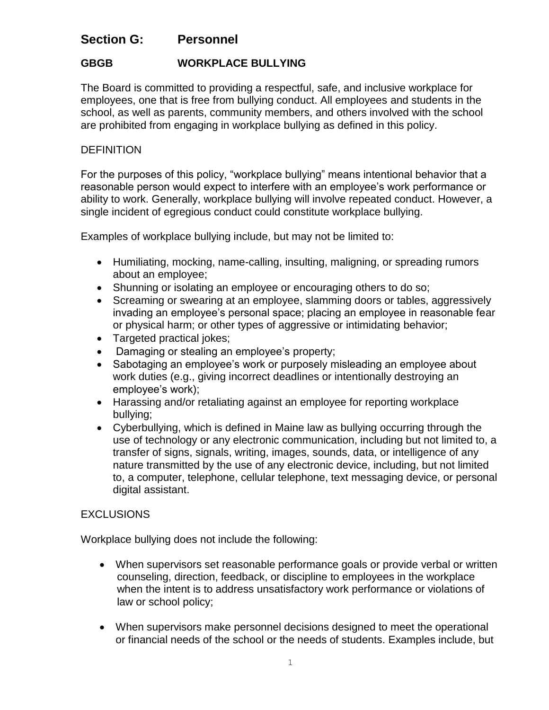# **Section G: Personnel**

## **GBGB WORKPLACE BULLYING**

The Board is committed to providing a respectful, safe, and inclusive workplace for employees, one that is free from bullying conduct. All employees and students in the school, as well as parents, community members, and others involved with the school are prohibited from engaging in workplace bullying as defined in this policy.

### **DEFINITION**

For the purposes of this policy, "workplace bullying" means intentional behavior that a reasonable person would expect to interfere with an employee's work performance or ability to work. Generally, workplace bullying will involve repeated conduct. However, a single incident of egregious conduct could constitute workplace bullying.

Examples of workplace bullying include, but may not be limited to:

- Humiliating, mocking, name-calling, insulting, maligning, or spreading rumors about an employee;
- Shunning or isolating an employee or encouraging others to do so;
- Screaming or swearing at an employee, slamming doors or tables, aggressively invading an employee's personal space; placing an employee in reasonable fear or physical harm; or other types of aggressive or intimidating behavior;
- Targeted practical jokes;
- Damaging or stealing an employee's property;
- Sabotaging an employee's work or purposely misleading an employee about work duties (e.g., giving incorrect deadlines or intentionally destroying an employee's work);
- Harassing and/or retaliating against an employee for reporting workplace bullying;
- Cyberbullying, which is defined in Maine law as bullying occurring through the use of technology or any electronic communication, including but not limited to, a transfer of signs, signals, writing, images, sounds, data, or intelligence of any nature transmitted by the use of any electronic device, including, but not limited to, a computer, telephone, cellular telephone, text messaging device, or personal digital assistant.

#### EXCLUSIONS

Workplace bullying does not include the following:

- When supervisors set reasonable performance goals or provide verbal or written counseling, direction, feedback, or discipline to employees in the workplace when the intent is to address unsatisfactory work performance or violations of law or school policy;
- When supervisors make personnel decisions designed to meet the operational or financial needs of the school or the needs of students. Examples include, but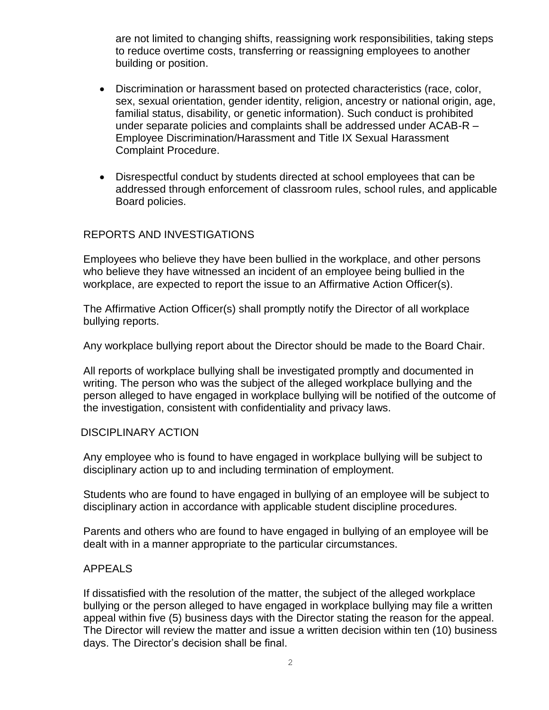are not limited to changing shifts, reassigning work responsibilities, taking steps to reduce overtime costs, transferring or reassigning employees to another building or position.

- Discrimination or harassment based on protected characteristics (race, color, sex, sexual orientation, gender identity, religion, ancestry or national origin, age, familial status, disability, or genetic information). Such conduct is prohibited under separate policies and complaints shall be addressed under ACAB-R – Employee Discrimination/Harassment and Title IX Sexual Harassment Complaint Procedure.
- Disrespectful conduct by students directed at school employees that can be addressed through enforcement of classroom rules, school rules, and applicable Board policies.

#### REPORTS AND INVESTIGATIONS

Employees who believe they have been bullied in the workplace, and other persons who believe they have witnessed an incident of an employee being bullied in the workplace, are expected to report the issue to an Affirmative Action Officer(s).

The Affirmative Action Officer(s) shall promptly notify the Director of all workplace bullying reports.

Any workplace bullying report about the Director should be made to the Board Chair.

All reports of workplace bullying shall be investigated promptly and documented in writing. The person who was the subject of the alleged workplace bullying and the person alleged to have engaged in workplace bullying will be notified of the outcome of the investigation, consistent with confidentiality and privacy laws.

#### DISCIPLINARY ACTION

Any employee who is found to have engaged in workplace bullying will be subject to disciplinary action up to and including termination of employment.

Students who are found to have engaged in bullying of an employee will be subject to disciplinary action in accordance with applicable student discipline procedures.

Parents and others who are found to have engaged in bullying of an employee will be dealt with in a manner appropriate to the particular circumstances.

#### APPEALS

If dissatisfied with the resolution of the matter, the subject of the alleged workplace bullying or the person alleged to have engaged in workplace bullying may file a written appeal within five (5) business days with the Director stating the reason for the appeal. The Director will review the matter and issue a written decision within ten (10) business days. The Director's decision shall be final.